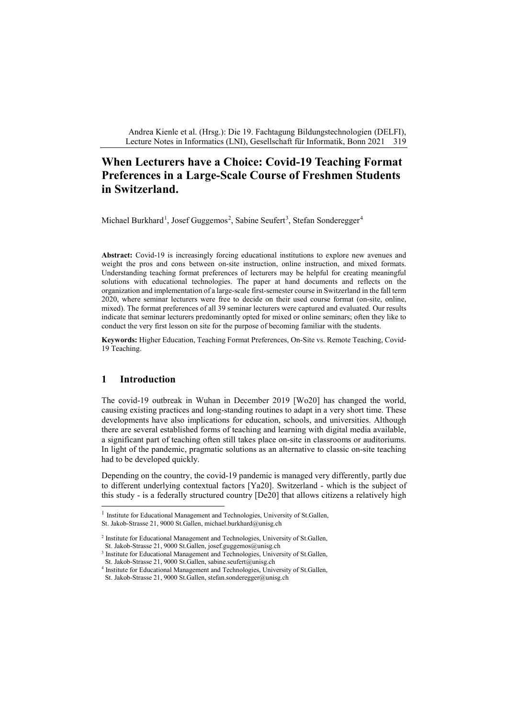Andrea Kienle et al. (Hrsg.): Die 19. Fachtagung Bildungstechnologien (DELFI), Lecture Notes in Informatics (LNI), Gesellschaft für Informatik, Bonn 2021 319

# **When Lecturers have a Choice: Covid-19 Teaching Format Preferences in a Large-Scale Course of Freshmen Students in Switzerland.**

Michael Burkhard<sup>[1](#page-3-0)</sup>, Josef Guggemos<sup>[2](#page-0-0)</sup>, Sabine Seufert<sup>[3](#page-0-1)</sup>, Stefan Sonderegger<sup>[4](#page-0-2)</sup>

**Abstract:** Covid-19 is increasingly forcing educational institutions to explore new avenues and weight the pros and cons between on-site instruction, online instruction, and mixed formats. Understanding teaching format preferences of lecturers may be helpful for creating meaningful solutions with educational technologies. The paper at hand documents and reflects on the organization and implementation of a large-scale first-semester course in Switzerland in the fall term 2020, where seminar lecturers were free to decide on their used course format (on-site, online, mixed). The format preferences of all 39 seminar lecturers were captured and evaluated. Our results indicate that seminar lecturers predominantly opted for mixed or online seminars; often they like to conduct the very first lesson on site for the purpose of becoming familiar with the students.

**Keywords:** Higher Education, Teaching Format Preferences, On-Site vs. Remote Teaching, Covid-19 Teaching.

### **1 Introduction**

The covid-19 outbreak in Wuhan in December 2019 [Wo20] has changed the world, causing existing practices and long-standing routines to adapt in a very short time. These developments have also implications for education, schools, and universities. Although there are several established forms of teaching and learning with digital media available, a significant part of teaching often still takes place on-site in classrooms or auditoriums. In light of the pandemic, pragmatic solutions as an alternative to classic on-site teaching had to be developed quickly.

Depending on the country, the covid-19 pandemic is managed very differently, partly due to different underlying contextual factors [Ya20]. Switzerland - which is the subject of this study - is a federally structured country [De20] that allows citizens a relatively high

<sup>&</sup>lt;sup>1</sup> Institute for Educational Management and Technologies, University of St.Gallen, St. Jakob-Strasse 21, 9000 St.Gallen, michael.burkhard@unisg.ch

<span id="page-0-0"></span><sup>&</sup>lt;sup>2</sup> Institute for Educational Management and Technologies, University of St.Gallen, St. Jakob-Strasse 21, 9000 St.Gallen, josef.guggemos@unisg.ch

<span id="page-0-1"></span><sup>&</sup>lt;sup>3</sup> Institute for Educational Management and Technologies, University of St.Gallen,

St. Jakob-Strasse 21, 9000 St.Gallen, sabine.seufert@unisg.ch

<span id="page-0-2"></span><sup>4</sup> Institute for Educational Management and Technologies, University of St.Gallen, St. Jakob-Strasse 21, 9000 St.Gallen, stefan.sonderegger@unisg.ch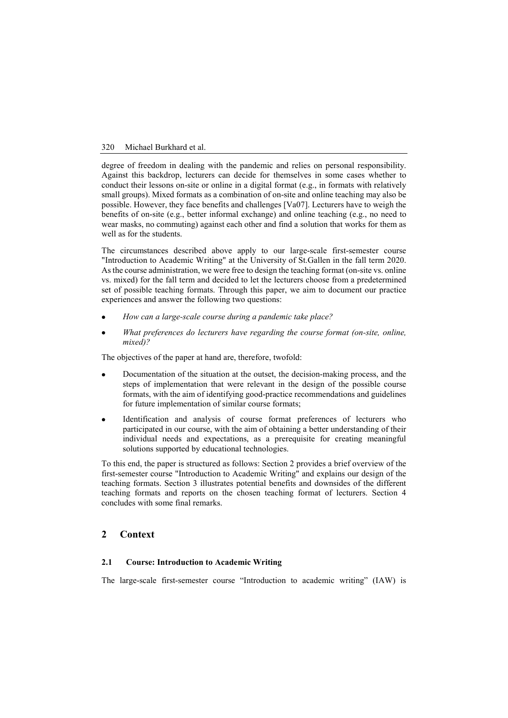#### 320 Michael Burkhard et al.

degree of freedom in dealing with the pandemic and relies on personal responsibility. Against this backdrop, lecturers can decide for themselves in some cases whether to conduct their lessons on-site or online in a digital format (e.g., in formats with relatively small groups). Mixed formats as a combination of on-site and online teaching may also be possible. However, they face benefits and challenges [Va07]. Lecturers have to weigh the benefits of on-site (e.g., better informal exchange) and online teaching (e.g., no need to wear masks, no commuting) against each other and find a solution that works for them as well as for the students.

The circumstances described above apply to our large-scale first-semester course "Introduction to Academic Writing" at the University of St.Gallen in the fall term 2020. Asthe course administration, we were free to design the teaching format (on-site vs. online vs. mixed) for the fall term and decided to let the lecturers choose from a predetermined set of possible teaching formats. Through this paper, we aim to document our practice experiences and answer the following two questions:

- *How can a large-scale course during a pandemic take place?*
- *What preferences do lecturers have regarding the course format (on-site, online, mixed)?*

The objectives of the paper at hand are, therefore, twofold:

- Documentation of the situation at the outset, the decision-making process, and the steps of implementation that were relevant in the design of the possible course formats, with the aim of identifying good-practice recommendations and guidelines for future implementation of similar course formats;
- Identification and analysis of course format preferences of lecturers who participated in our course, with the aim of obtaining a better understanding of their individual needs and expectations, as a prerequisite for creating meaningful solutions supported by educational technologies.

To this end, the paper is structured as follows: Section 2 provides a brief overview of the first-semester course "Introduction to Academic Writing" and explains our design of the teaching formats. Section 3 illustrates potential benefits and downsides of the different teaching formats and reports on the chosen teaching format of lecturers. Section 4 concludes with some final remarks.

# **2 Context**

#### **2.1 Course: Introduction to Academic Writing**

The large-scale first-semester course "Introduction to academic writing" (IAW) is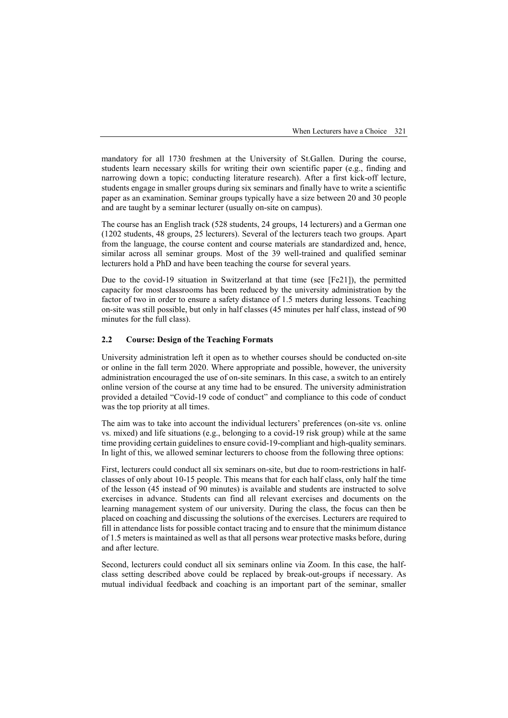mandatory for all 1730 freshmen at the University of St.Gallen. During the course, students learn necessary skills for writing their own scientific paper (e.g., finding and narrowing down a topic; conducting literature research). After a first kick-off lecture, students engage in smaller groups during six seminars and finally have to write a scientific paper as an examination. Seminar groups typically have a size between 20 and 30 people and are taught by a seminar lecturer (usually on-site on campus).

The course has an English track (528 students, 24 groups, 14 lecturers) and a German one (1202 students, 48 groups, 25 lecturers). Several of the lecturers teach two groups. Apart from the language, the course content and course materials are standardized and, hence, similar across all seminar groups. Most of the 39 well-trained and qualified seminar lecturers hold a PhD and have been teaching the course for several years.

Due to the covid-19 situation in Switzerland at that time (see [Fe21]), the permitted capacity for most classrooms has been reduced by the university administration by the factor of two in order to ensure a safety distance of 1.5 meters during lessons. Teaching on-site was still possible, but only in half classes (45 minutes per half class, instead of 90 minutes for the full class).

### **2.2 Course: Design of the Teaching Formats**

University administration left it open as to whether courses should be conducted on-site or online in the fall term 2020. Where appropriate and possible, however, the university administration encouraged the use of on-site seminars. In this case, a switch to an entirely online version of the course at any time had to be ensured. The university administration provided a detailed "Covid-19 code of conduct" and compliance to this code of conduct was the top priority at all times.

The aim was to take into account the individual lecturers' preferences (on-site vs. online vs. mixed) and life situations (e.g., belonging to a covid-19 risk group) while at the same time providing certain guidelines to ensure covid-19-compliant and high-quality seminars. In light of this, we allowed seminar lecturers to choose from the following three options:

First, lecturers could conduct all six seminars on-site, but due to room-restrictions in halfclasses of only about 10-15 people. This means that for each half class, only half the time of the lesson (45 instead of 90 minutes) is available and students are instructed to solve exercises in advance. Students can find all relevant exercises and documents on the learning management system of our university. During the class, the focus can then be placed on coaching and discussing the solutions of the exercises. Lecturers are required to fill in attendance lists for possible contact tracing and to ensure that the minimum distance of 1.5 meters is maintained as well as that all persons wear protective masks before, during and after lecture.

Second, lecturers could conduct all six seminars online via Zoom. In this case, the halfclass setting described above could be replaced by break-out-groups if necessary. As mutual individual feedback and coaching is an important part of the seminar, smaller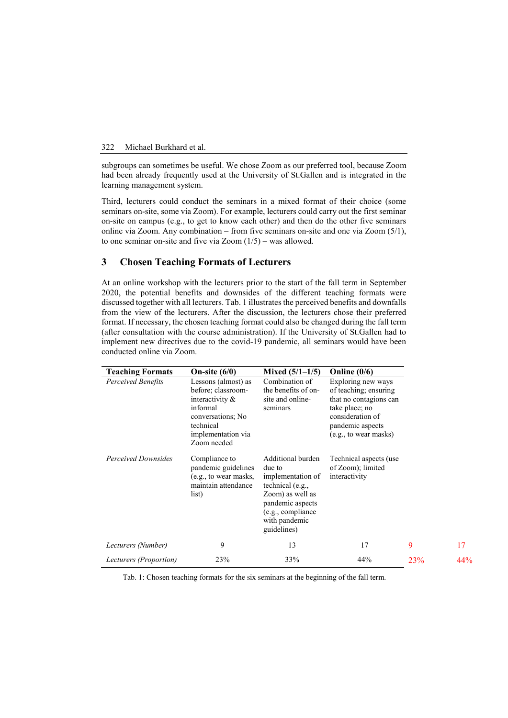#### 322 Michael Burkhard et al.

subgroups can sometimes be useful. We chose Zoom as our preferred tool, because Zoom had been already frequently used at the University of St.Gallen and is integrated in the learning management system.

Third, lecturers could conduct the seminars in a mixed format of their choice (some seminars on-site, some via Zoom). For example, lecturers could carry out the first seminar on-site on campus (e.g., to get to know each other) and then do the other five seminars online via Zoom. Any combination – from five seminars on-site and one via Zoom (5/1), to one seminar on-site and five via Zoom  $(1/5)$  – was allowed.

# **3 Chosen Teaching Formats of Lecturers**

At an online workshop with the lecturers prior to the start of the fall term in September 2020, the potential benefits and downsides of the different teaching formats were discussed together with all lecturers. Tab. 1 illustrates the perceived benefits and downfalls from the view of the lecturers. After the discussion, the lecturers chose their preferred format. If necessary, the chosen teaching format could also be changed during the fall term (after consultation with the course administration). If the University of St.Gallen had to implement new directives due to the covid-19 pandemic, all seminars would have been conducted online via Zoom.

<span id="page-3-0"></span>

| <b>Teaching Formats</b>    | On-site $(6/0)$                                                                                                                                    | Mixed $(5/1-1/5)$                                                                                                                                                 | Online $(0/6)$                                                                                                                                           |                 |     |
|----------------------------|----------------------------------------------------------------------------------------------------------------------------------------------------|-------------------------------------------------------------------------------------------------------------------------------------------------------------------|----------------------------------------------------------------------------------------------------------------------------------------------------------|-----------------|-----|
| Perceived Benefits         | Lessons (almost) as<br>before; classroom-<br>interactivity $\&$<br>informal<br>conversations; No<br>technical<br>implementation via<br>Zoom needed | Combination of<br>the benefits of on-<br>site and online-<br>seminars                                                                                             | Exploring new ways<br>of teaching; ensuring<br>that no contagions can<br>take place; no<br>consideration of<br>pandemic aspects<br>(e.g., to wear masks) |                 |     |
| <b>Perceived Downsides</b> | Compliance to<br>pandemic guidelines<br>(e.g., to wear masks,<br>maintain attendance<br>list)                                                      | Additional burden<br>due to<br>implementation of<br>technical (e.g.,<br>Zoom) as well as<br>pandemic aspects<br>(e.g., compliance<br>with pandemic<br>guidelines) | Technical aspects (use<br>of Zoom); limited<br>interactivity                                                                                             |                 |     |
| Lecturers (Number)         | 9                                                                                                                                                  | 13                                                                                                                                                                | 17                                                                                                                                                       | 9               | 17  |
| Lecturers (Proportion)     | 23%                                                                                                                                                | 33%                                                                                                                                                               | 44%                                                                                                                                                      | 23 <sup>%</sup> | 44% |

Tab. 1: Chosen teaching formats for the six seminars at the beginning of the fall term.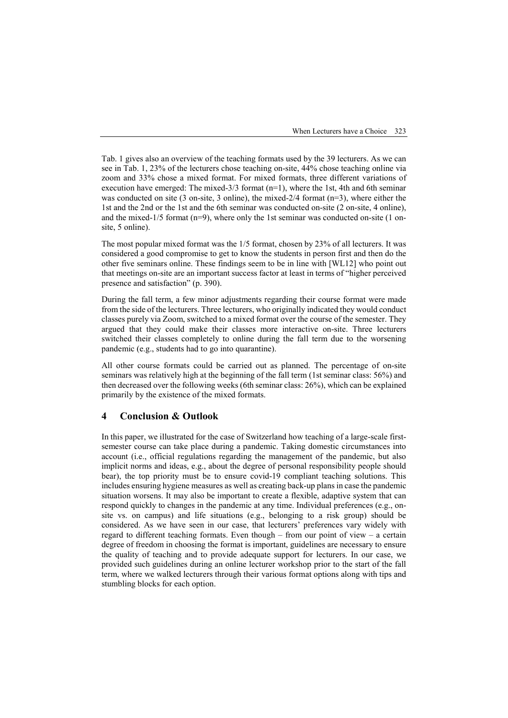Tab. 1 gives also an overview of the teaching formats used by the 39 lecturers. As we can see in Tab. 1, 23% of the lecturers chose teaching on-site, 44% chose teaching online via zoom and 33% chose a mixed format. For mixed formats, three different variations of execution have emerged: The mixed- $3/3$  format (n=1), where the 1st, 4th and 6th seminar was conducted on site (3 on-site, 3 online), the mixed-2/4 format (n=3), where either the 1st and the 2nd or the 1st and the 6th seminar was conducted on-site (2 on-site, 4 online), and the mixed- $1/5$  format (n=9), where only the 1st seminar was conducted on-site (1 onsite, 5 online).

The most popular mixed format was the 1/5 format, chosen by 23% of all lecturers. It was considered a good compromise to get to know the students in person first and then do the other five seminars online. These findings seem to be in line with [WL12] who point out that meetings on-site are an important success factor at least in terms of "higher perceived presence and satisfaction" (p. 390).

During the fall term, a few minor adjustments regarding their course format were made from the side of the lecturers. Three lecturers, who originally indicated they would conduct classes purely via Zoom, switched to a mixed format over the course of the semester. They argued that they could make their classes more interactive on-site. Three lecturers switched their classes completely to online during the fall term due to the worsening pandemic (e.g., students had to go into quarantine).

All other course formats could be carried out as planned. The percentage of on-site seminars was relatively high at the beginning of the fall term (1st seminar class: 56%) and then decreased over the following weeks (6th seminar class: 26%), which can be explained primarily by the existence of the mixed formats.

# **4 Conclusion & Outlook**

In this paper, we illustrated for the case of Switzerland how teaching of a large-scale firstsemester course can take place during a pandemic. Taking domestic circumstances into account (i.e., official regulations regarding the management of the pandemic, but also implicit norms and ideas, e.g., about the degree of personal responsibility people should bear), the top priority must be to ensure covid-19 compliant teaching solutions. This includes ensuring hygiene measures as well as creating back-up plans in case the pandemic situation worsens. It may also be important to create a flexible, adaptive system that can respond quickly to changes in the pandemic at any time. Individual preferences (e.g., onsite vs. on campus) and life situations (e.g., belonging to a risk group) should be considered. As we have seen in our case, that lecturers' preferences vary widely with regard to different teaching formats. Even though – from our point of view – a certain degree of freedom in choosing the format is important, guidelines are necessary to ensure the quality of teaching and to provide adequate support for lecturers. In our case, we provided such guidelines during an online lecturer workshop prior to the start of the fall term, where we walked lecturers through their various format options along with tips and stumbling blocks for each option.